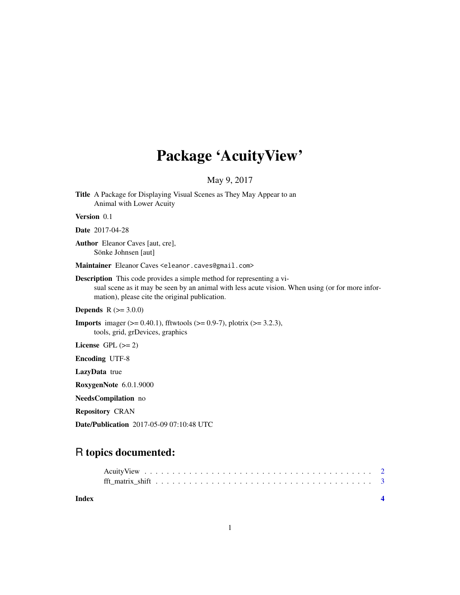# Package 'AcuityView'

### May 9, 2017

Title A Package for Displaying Visual Scenes as They May Appear to an Animal with Lower Acuity

#### Version 0.1

#### Date 2017-04-28

Author Eleanor Caves [aut, cre], Sönke Johnsen [aut]

Maintainer Eleanor Caves <eleanor.caves@gmail.com>

Description This code provides a simple method for representing a visual scene as it may be seen by an animal with less acute vision. When using (or for more information), please cite the original publication.

**Depends**  $R (= 3.0.0)$ 

**Imports** imager ( $> = 0.40.1$ ), fftwtools ( $> = 0.9-7$ ), plotrix ( $> = 3.2.3$ ), tools, grid, grDevices, graphics

License GPL  $(>= 2)$ 

Encoding UTF-8

LazyData true

RoxygenNote 6.0.1.9000

NeedsCompilation no

Repository CRAN

Date/Publication 2017-05-09 07:10:48 UTC

## R topics documented:

| Index |  |  |  |  |  |  |  |  |  |  |  |  |  |
|-------|--|--|--|--|--|--|--|--|--|--|--|--|--|

1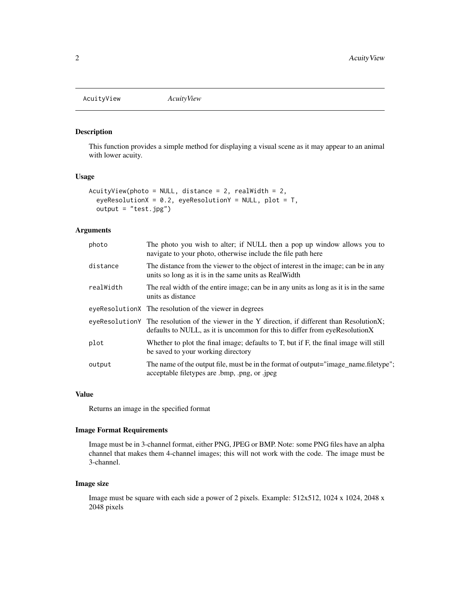<span id="page-1-0"></span>AcuityView *AcuityView*

#### Description

This function provides a simple method for displaying a visual scene as it may appear to an animal with lower acuity.

#### Usage

```
AcuityView(photo = NULL, distance = 2, realWidth = 2,
  eyeResolutionX = 0.2, eyeResolutionY = NULL, plot = T,
 output = "test.jpg")
```
#### Arguments

| photo     | The photo you wish to alter; if NULL then a pop up window allows you to<br>navigate to your photo, otherwise include the file path here                                        |
|-----------|--------------------------------------------------------------------------------------------------------------------------------------------------------------------------------|
| distance  | The distance from the viewer to the object of interest in the image; can be in any<br>units so long as it is in the same units as RealWidth                                    |
| realWidth | The real width of the entire image; can be in any units as long as it is in the same<br>units as distance                                                                      |
|           | eyeResolutionX The resolution of the viewer in degrees                                                                                                                         |
|           | eyeResolution Y The resolution of the viewer in the Y direction, if different than Resolution X;<br>defaults to NULL, as it is uncommon for this to differ from eyeResolutionX |
| plot      | Whether to plot the final image; defaults to T, but if F, the final image will still<br>be saved to your working directory                                                     |
| output    | The name of the output file, must be in the format of output="image_name.filetype";<br>acceptable filetypes are .bmp, .png, or .jpeg                                           |

#### Value

Returns an image in the specified format

#### Image Format Requirements

Image must be in 3-channel format, either PNG, JPEG or BMP. Note: some PNG files have an alpha channel that makes them 4-channel images; this will not work with the code. The image must be 3-channel.

#### Image size

Image must be square with each side a power of 2 pixels. Example: 512x512, 1024 x 1024, 2048 x 2048 pixels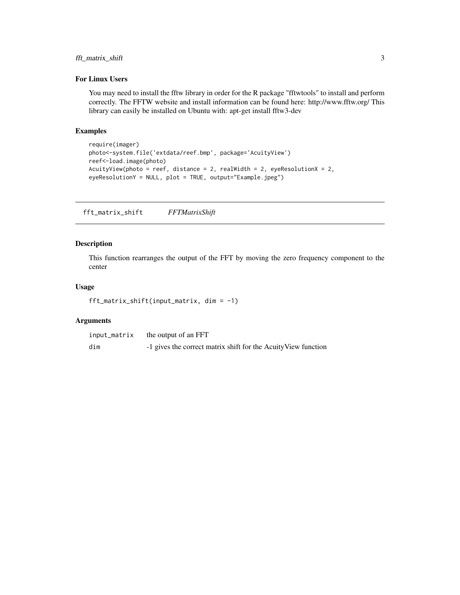#### <span id="page-2-0"></span>fft\_matrix\_shift 3

#### For Linux Users

You may need to install the fftw library in order for the R package "fftwtools" to install and perform correctly. The FFTW website and install information can be found here: http://www.fftw.org/ This library can easily be installed on Ubuntu with: apt-get install fftw3-dev

#### Examples

```
require(imager)
photo<-system.file('extdata/reef.bmp', package='AcuityView')
reef<-load.image(photo)
AcuityView(photo = reef, distance = 2, realWidth = 2, eyeResolutionX = 2,
eyeResolutionY = NULL, plot = TRUE, output="Example.jpeg")
```
fft\_matrix\_shift *FFTMatrixShift*

#### Description

This function rearranges the output of the FFT by moving the zero frequency component to the center

#### Usage

```
fft_matrix_shift(input_matrix, dim = -1)
```
#### Arguments

| input_matrix | the output of an FFT                                           |
|--------------|----------------------------------------------------------------|
| dim          | -1 gives the correct matrix shift for the Acuity View function |